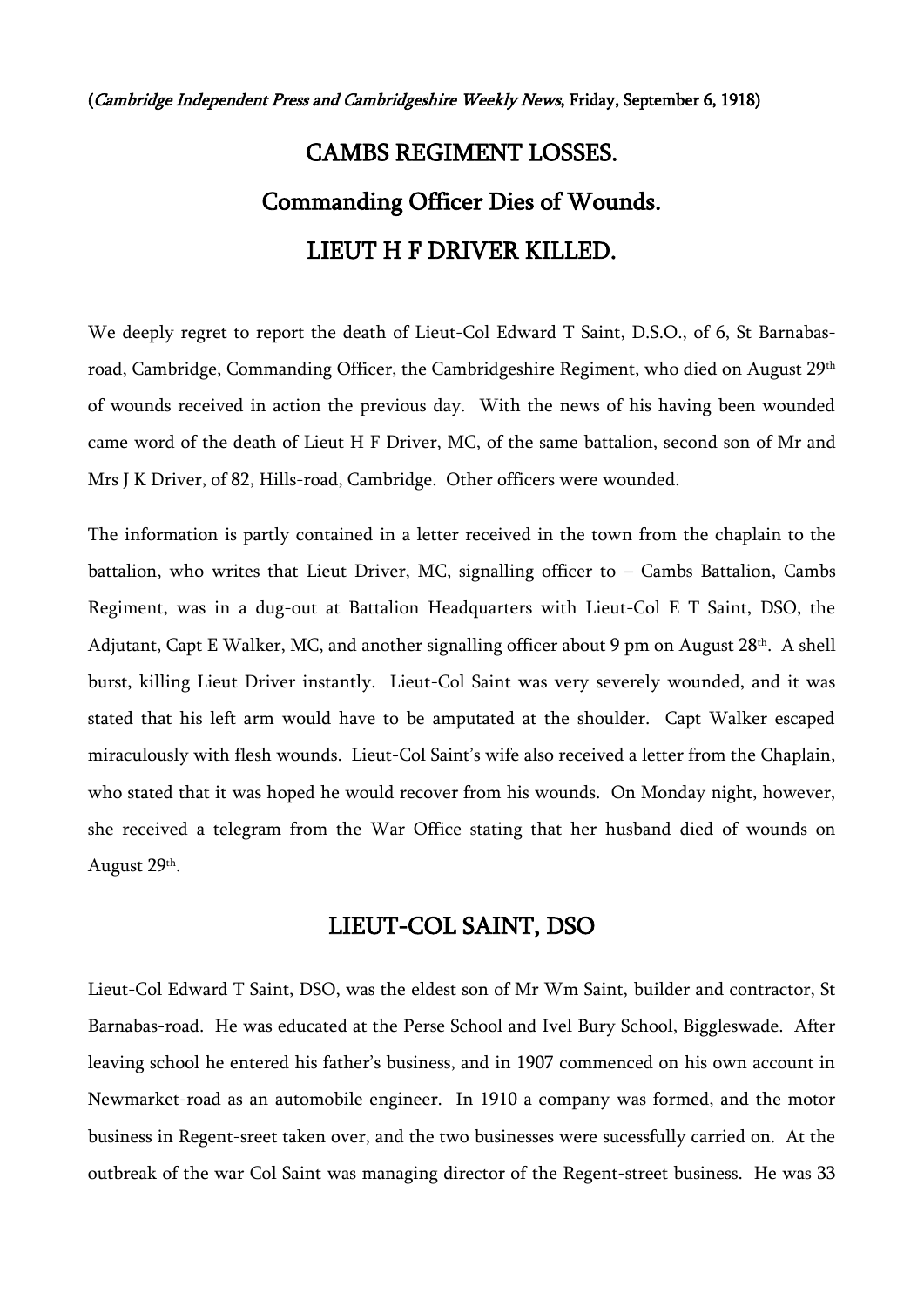(Cambridge Independent Press and Cambridgeshire Weekly News, Friday, September 6, 1918)

## CAMBS REGIMENT LOSSES. Commanding Officer Dies of Wounds. LIEUT H F DRIVER KILLED.

We deeply regret to report the death of Lieut-Col Edward T Saint, D.S.O., of 6, St Barnabasroad, Cambridge, Commanding Officer, the Cambridgeshire Regiment, who died on August 29<sup>th</sup> of wounds received in action the previous day. With the news of his having been wounded came word of the death of Lieut H F Driver, MC, of the same battalion, second son of Mr and Mrs J K Driver, of 82, Hills-road, Cambridge. Other officers were wounded.

The information is partly contained in a letter received in the town from the chaplain to the battalion, who writes that Lieut Driver, MC, signalling officer to – Cambs Battalion, Cambs Regiment, was in a dug-out at Battalion Headquarters with Lieut-Col E T Saint, DSO, the Adjutant, Capt E Walker, MC, and another signalling officer about 9 pm on August 28<sup>th</sup>. A shell burst, killing Lieut Driver instantly. Lieut-Col Saint was very severely wounded, and it was stated that his left arm would have to be amputated at the shoulder. Capt Walker escaped miraculously with flesh wounds. Lieut-Col Saint's wife also received a letter from the Chaplain, who stated that it was hoped he would recover from his wounds. On Monday night, however, she received a telegram from the War Office stating that her husband died of wounds on August 29<sup>th</sup>.

## LIEUT-COL SAINT, DSO

Lieut-Col Edward T Saint, DSO, was the eldest son of Mr Wm Saint, builder and contractor, St Barnabas-road. He was educated at the Perse School and Ivel Bury School, Biggleswade. After leaving school he entered his father's business, and in 1907 commenced on his own account in Newmarket-road as an automobile engineer. In 1910 a company was formed, and the motor business in Regent-sreet taken over, and the two businesses were sucessfully carried on. At the outbreak of the war Col Saint was managing director of the Regent-street business. He was 33